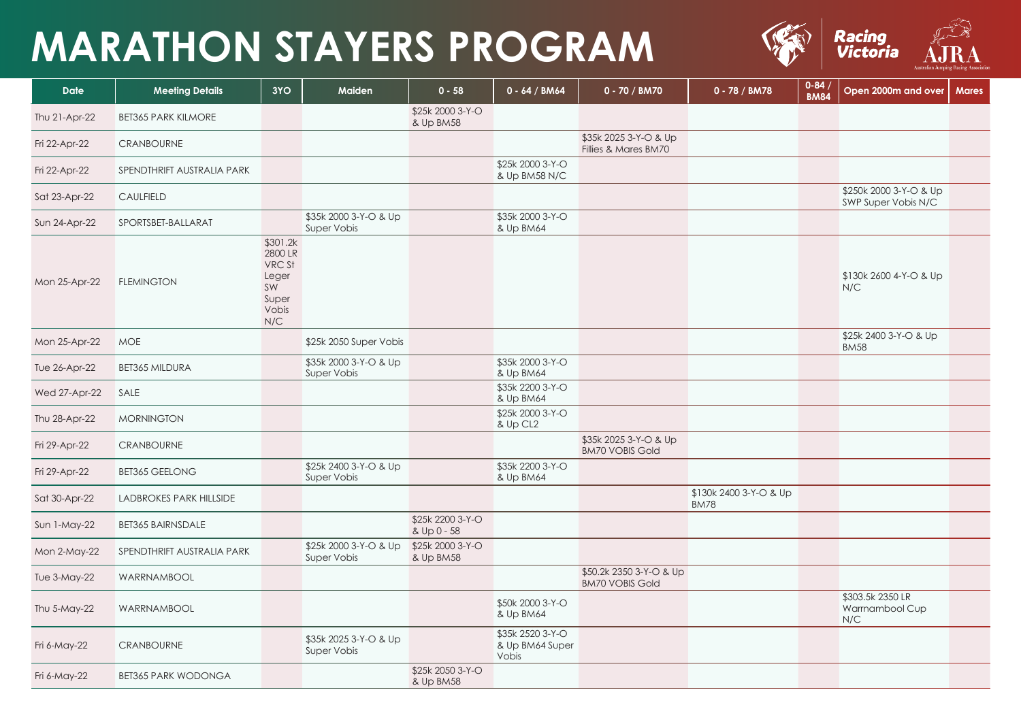## **MARATHON STAYERS PROGRAM**



| <b>Date</b>         | <b>Meeting Details</b>         | 3YO                                                                          | Maiden                               | $0 - 58$                        | $0 - 64 / BM64$                              | 0 - 70 / BM70                                     | 0 - 78 / BM78                         | $0 - 84$<br><b>BM84</b> | Open 2000m and over                           | <b>Mares</b> |
|---------------------|--------------------------------|------------------------------------------------------------------------------|--------------------------------------|---------------------------------|----------------------------------------------|---------------------------------------------------|---------------------------------------|-------------------------|-----------------------------------------------|--------------|
| Thu 21-Apr-22       | <b>BET365 PARK KILMORE</b>     |                                                                              |                                      | \$25k 2000 3-Y-O<br>& Up BM58   |                                              |                                                   |                                       |                         |                                               |              |
| Fri 22-Apr-22       | <b>CRANBOURNE</b>              |                                                                              |                                      |                                 |                                              | \$35k 2025 3-Y-O & Up<br>Fillies & Mares BM70     |                                       |                         |                                               |              |
| Fri 22-Apr-22       | SPENDTHRIFT AUSTRALIA PARK     |                                                                              |                                      |                                 | \$25k 2000 3-Y-O<br>& Up BM58 N/C            |                                                   |                                       |                         |                                               |              |
| Sat 23-Apr-22       | <b>CAULFIELD</b>               |                                                                              |                                      |                                 |                                              |                                                   |                                       |                         | \$250k 2000 3-Y-O & Up<br>SWP Super Vobis N/C |              |
| Sun 24-Apr-22       | SPORTSBET-BALLARAT             |                                                                              | \$35k 2000 3-Y-O & Up<br>Super Vobis |                                 | \$35k 2000 3-Y-O<br>& Up BM64                |                                                   |                                       |                         |                                               |              |
| Mon 25-Apr-22       | <b>FLEMINGTON</b>              | \$301.2k<br>2800 LR<br><b>VRC St</b><br>Leger<br>SW<br>Super<br>Vobis<br>N/C |                                      |                                 |                                              |                                                   |                                       |                         | \$130k 2600 4-Y-O & Up<br>N/C                 |              |
| Mon 25-Apr-22       | <b>MOE</b>                     |                                                                              | \$25k 2050 Super Vobis               |                                 |                                              |                                                   |                                       |                         | \$25k 2400 3-Y-O & Up<br><b>BM58</b>          |              |
| Tue 26-Apr-22       | <b>BET365 MILDURA</b>          |                                                                              | \$35k 2000 3-Y-O & Up<br>Super Vobis |                                 | \$35k 2000 3-Y-O<br>& Up BM64                |                                                   |                                       |                         |                                               |              |
| Wed 27-Apr-22       | SALE                           |                                                                              |                                      |                                 | \$35k 2200 3-Y-O<br>& Up BM64                |                                                   |                                       |                         |                                               |              |
| Thu 28-Apr-22       | <b>MORNINGTON</b>              |                                                                              |                                      |                                 | \$25k 2000 3-Y-O<br>& Up CL2                 |                                                   |                                       |                         |                                               |              |
| Fri 29-Apr-22       | <b>CRANBOURNE</b>              |                                                                              |                                      |                                 |                                              | \$35k 2025 3-Y-O & Up<br><b>BM70 VOBIS Gold</b>   |                                       |                         |                                               |              |
| Fri 29-Apr-22       | <b>BET365 GEELONG</b>          |                                                                              | \$25k 2400 3-Y-O & Up<br>Super Vobis |                                 | \$35k 2200 3-Y-O<br>& Up BM64                |                                                   |                                       |                         |                                               |              |
| Sat 30-Apr-22       | <b>LADBROKES PARK HILLSIDE</b> |                                                                              |                                      |                                 |                                              |                                                   | \$130k 2400 3-Y-O & Up<br><b>BM78</b> |                         |                                               |              |
| Sun 1-May-22        | <b>BET365 BAIRNSDALE</b>       |                                                                              |                                      | \$25k 2200 3-Y-O<br>& Up 0 - 58 |                                              |                                                   |                                       |                         |                                               |              |
| Mon 2-May-22        | SPENDTHRIFT AUSTRALIA PARK     |                                                                              | \$25k 2000 3-Y-O & Up<br>Super Vobis | \$25k 2000 3-Y-O<br>& Up BM58   |                                              |                                                   |                                       |                         |                                               |              |
| <b>Tue 3-May-22</b> | WARRNAMBOOL                    |                                                                              |                                      |                                 |                                              | \$50.2k 2350 3-Y-O & Up<br><b>BM70 VOBIS Gold</b> |                                       |                         |                                               |              |
| Thu 5-May-22        | WARRNAMBOOL                    |                                                                              |                                      |                                 | \$50k 2000 3-Y-O<br>& Up BM64                |                                                   |                                       |                         | \$303.5k 2350 LR<br>Warrnambool Cup<br>N/C    |              |
| Fri 6-May-22        | <b>CRANBOURNE</b>              |                                                                              | \$35k 2025 3-Y-O & Up<br>Super Vobis |                                 | \$35k 2520 3-Y-O<br>& Up BM64 Super<br>Vobis |                                                   |                                       |                         |                                               |              |
| Fri 6-May-22        | <b>BET365 PARK WODONGA</b>     |                                                                              |                                      | \$25k 2050 3-Y-O<br>& Up BM58   |                                              |                                                   |                                       |                         |                                               |              |



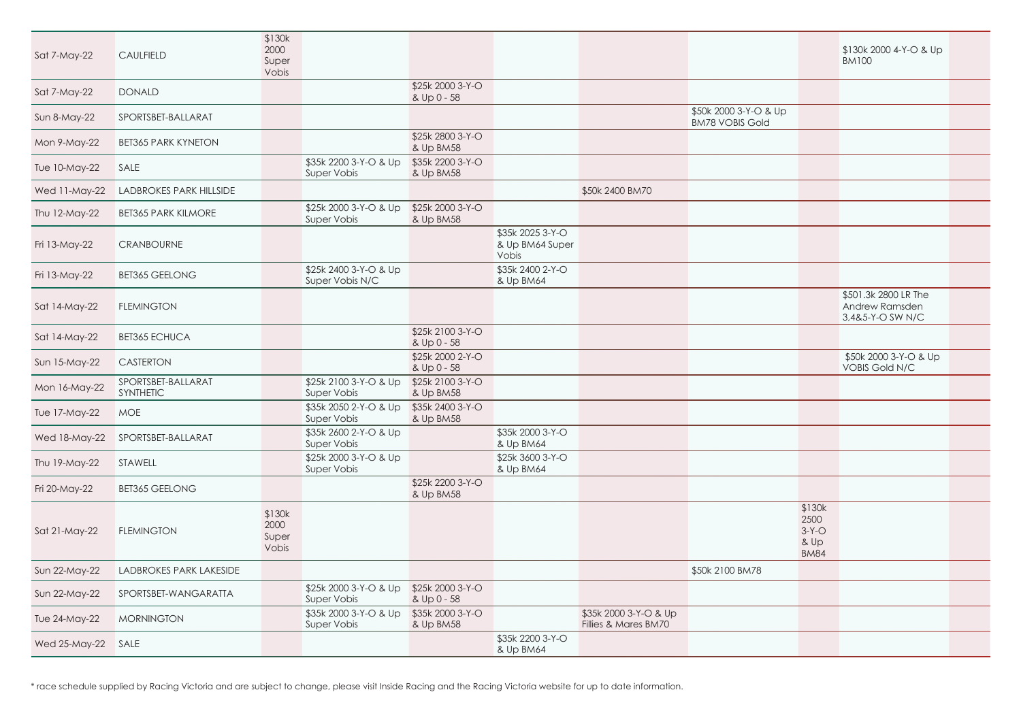|    |                                                  | \$130k 2000 4-Y-O & Up<br><b>BM100</b>                     |  |
|----|--------------------------------------------------|------------------------------------------------------------|--|
|    |                                                  |                                                            |  |
| Up |                                                  |                                                            |  |
|    |                                                  |                                                            |  |
|    |                                                  |                                                            |  |
|    |                                                  |                                                            |  |
|    |                                                  |                                                            |  |
|    |                                                  |                                                            |  |
|    |                                                  |                                                            |  |
|    |                                                  | \$501.3k 2800 LR The<br>Andrew Ramsden<br>3,4&5-Y-O SW N/C |  |
|    |                                                  |                                                            |  |
|    |                                                  | \$50k 2000 3-Y-O & Up<br><b>VOBIS Gold N/C</b>             |  |
|    |                                                  |                                                            |  |
|    |                                                  |                                                            |  |
|    |                                                  |                                                            |  |
|    |                                                  |                                                            |  |
|    |                                                  |                                                            |  |
|    | \$130k<br>2500<br>$3-Y-O$<br>& Up<br><b>BM84</b> |                                                            |  |
|    |                                                  |                                                            |  |
|    |                                                  |                                                            |  |
|    |                                                  |                                                            |  |
|    |                                                  |                                                            |  |

| Sat 7-May-22         | <b>CAULFIELD</b>                | \$130k<br>2000<br>Super<br>Vobis |                                             |                                 |                                              |                                               |                                                 |
|----------------------|---------------------------------|----------------------------------|---------------------------------------------|---------------------------------|----------------------------------------------|-----------------------------------------------|-------------------------------------------------|
| Sat 7-May-22         | <b>DONALD</b>                   |                                  |                                             | \$25k 2000 3-Y-O<br>& Up 0 - 58 |                                              |                                               |                                                 |
| Sun 8-May-22         | SPORTSBET-BALLARAT              |                                  |                                             |                                 |                                              |                                               | \$50k 2000 3-Y-O & Up<br><b>BM78 VOBIS Gold</b> |
| Mon 9-May-22         | <b>BET365 PARK KYNETON</b>      |                                  |                                             | \$25k 2800 3-Y-O<br>& Up BM58   |                                              |                                               |                                                 |
| Tue 10-May-22        | SALE                            |                                  | \$35k 2200 3-Y-O & Up<br><b>Super Vobis</b> | \$35k 2200 3-Y-O<br>& Up BM58   |                                              |                                               |                                                 |
| Wed 11-May-22        | <b>LADBROKES PARK HILLSIDE</b>  |                                  |                                             |                                 |                                              | \$50k 2400 BM70                               |                                                 |
| Thu 12-May-22        | <b>BET365 PARK KILMORE</b>      |                                  | \$25k 2000 3-Y-O & Up<br>Super Vobis        | \$25k 2000 3-Y-O<br>& Up BM58   |                                              |                                               |                                                 |
| Fri 13-May-22        | <b>CRANBOURNE</b>               |                                  |                                             |                                 | \$35k 2025 3-Y-O<br>& Up BM64 Super<br>Vobis |                                               |                                                 |
| Fri 13-May-22        | <b>BET365 GEELONG</b>           |                                  | \$25k 2400 3-Y-O & Up<br>Super Vobis N/C    |                                 | \$35k 2400 2-Y-O<br>& Up BM64                |                                               |                                                 |
| Sat 14-May-22        | <b>FLEMINGTON</b>               |                                  |                                             |                                 |                                              |                                               |                                                 |
| Sat 14-May-22        | <b>BET365 ECHUCA</b>            |                                  |                                             | \$25k 2100 3-Y-O<br>& Up 0 - 58 |                                              |                                               |                                                 |
| Sun 15-May-22        | <b>CASTERTON</b>                |                                  |                                             | \$25k 2000 2-Y-O<br>& Up 0 - 58 |                                              |                                               |                                                 |
| Mon 16-May-22        | SPORTSBET-BALLARAT<br>SYNTHETIC |                                  | \$25k 2100 3-Y-O & Up<br>Super Vobis        | \$25k 2100 3-Y-O<br>& Up BM58   |                                              |                                               |                                                 |
| Tue 17-May-22        | <b>MOE</b>                      |                                  | \$35k 2050 2-Y-O & Up<br>Super Vobis        | \$35k 2400 3-Y-O<br>& Up BM58   |                                              |                                               |                                                 |
| Wed 18-May-22        | SPORTSBET-BALLARAT              |                                  | \$35k 2600 2-Y-O & Up<br>Super Vobis        |                                 | \$35k 2000 3-Y-O<br>& Up BM64                |                                               |                                                 |
| Thu 19-May-22        | STAWELL                         |                                  | \$25k 2000 3-Y-O & Up<br>Super Vobis        |                                 | \$25k 3600 3-Y-O<br>& Up BM64                |                                               |                                                 |
| Fri 20-May-22        | <b>BET365 GEELONG</b>           |                                  |                                             | \$25k 2200 3-Y-O<br>& Up BM58   |                                              |                                               |                                                 |
| Sat 21-May-22        | <b>FLEMINGTON</b>               | \$130k<br>2000<br>Super<br>Vobis |                                             |                                 |                                              |                                               |                                                 |
| <b>Sun 22-May-22</b> | LADBROKES PARK LAKESIDE         |                                  |                                             |                                 |                                              |                                               | \$50k 2100 BM78                                 |
| Sun 22-May-22        | SPORTSBET-WANGARATTA            |                                  | \$25k 2000 3-Y-O & Up<br>Super Vobis        | \$25k 2000 3-Y-O<br>& Up 0 - 58 |                                              |                                               |                                                 |
| <b>Tue 24-May-22</b> | <b>MORNINGTON</b>               |                                  | \$35k 2000 3-Y-O & Up<br>Super Vobis        | \$35k 2000 3-Y-O<br>& Up BM58   |                                              | \$35k 2000 3-Y-O & Up<br>Fillies & Mares BM70 |                                                 |
| Wed 25-May-22        | SALE                            |                                  |                                             |                                 | \$35k 2200 3-Y-O<br>& Up BM64                |                                               |                                                 |

\* race schedule supplied by Racing Victoria and are subject to change, please visit Inside Racing and the Racing Victoria website for up to date information.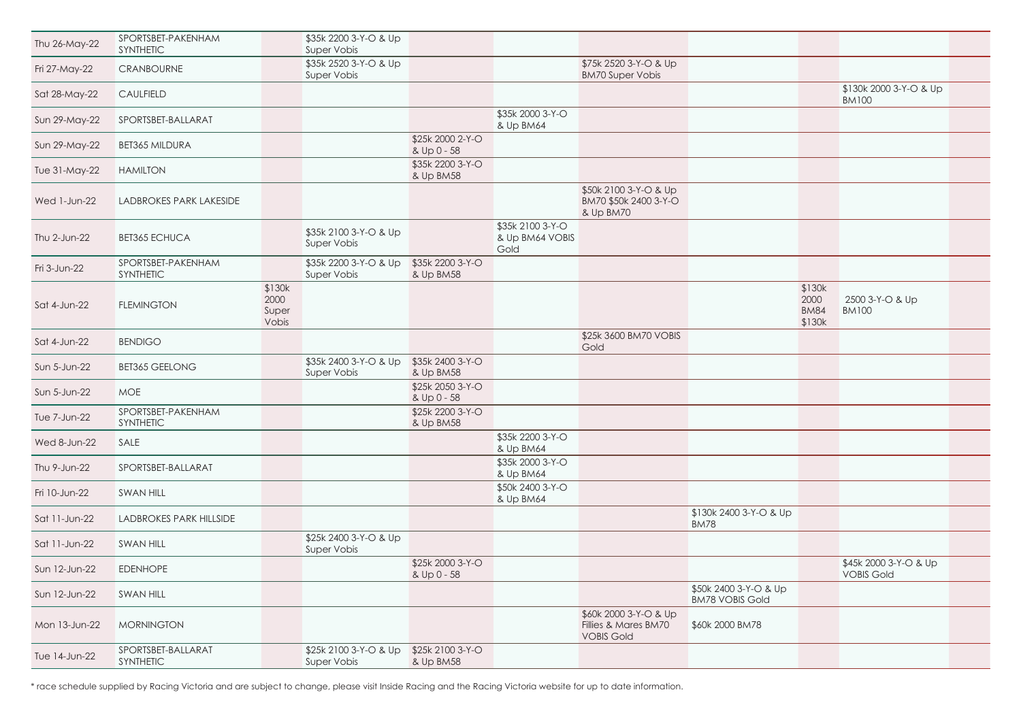|      |                                         | \$130k 2000 3-Y-O & Up<br><b>BM100</b>     |  |
|------|-----------------------------------------|--------------------------------------------|--|
|      |                                         |                                            |  |
|      |                                         |                                            |  |
|      |                                         |                                            |  |
|      |                                         |                                            |  |
|      |                                         |                                            |  |
|      |                                         |                                            |  |
|      | \$130k<br>2000<br><b>BM84</b><br>\$130k | 2500 3-Y-O & Up<br><b>BM100</b>            |  |
|      |                                         |                                            |  |
|      |                                         |                                            |  |
|      |                                         |                                            |  |
|      |                                         |                                            |  |
|      |                                         |                                            |  |
|      |                                         |                                            |  |
|      |                                         |                                            |  |
| & Up |                                         |                                            |  |
|      |                                         |                                            |  |
|      |                                         | \$45k 2000 3-Y-O & Up<br><b>VOBIS Gold</b> |  |
| Up   |                                         |                                            |  |
|      |                                         |                                            |  |
|      |                                         |                                            |  |
|      |                                         |                                            |  |

| Thu 26-May-22 | SPORTSBET-PAKENHAM<br>SYNTHETIC        |                                  | \$35k 2200 3-Y-O & Up<br>Super Vobis |                                 |                                             |                                                                    |                                                 |                                         |                                            |
|---------------|----------------------------------------|----------------------------------|--------------------------------------|---------------------------------|---------------------------------------------|--------------------------------------------------------------------|-------------------------------------------------|-----------------------------------------|--------------------------------------------|
| Fri 27-May-22 | <b>CRANBOURNE</b>                      |                                  | \$35k 2520 3-Y-O & Up<br>Super Vobis |                                 |                                             | \$75k 2520 3-Y-O & Up<br><b>BM70 Super Vobis</b>                   |                                                 |                                         |                                            |
| Sat 28-May-22 | <b>CAULFIELD</b>                       |                                  |                                      |                                 |                                             |                                                                    |                                                 |                                         | \$130k 2000 3-Y-O & Up<br><b>BM100</b>     |
| Sun 29-May-22 | SPORTSBET-BALLARAT                     |                                  |                                      |                                 | \$35k 2000 3-Y-O<br>& Up BM64               |                                                                    |                                                 |                                         |                                            |
| Sun 29-May-22 | <b>BET365 MILDURA</b>                  |                                  |                                      | \$25k 2000 2-Y-O<br>& Up 0 - 58 |                                             |                                                                    |                                                 |                                         |                                            |
| Tue 31-May-22 | <b>HAMILTON</b>                        |                                  |                                      | \$35k 2200 3-Y-O<br>& Up BM58   |                                             |                                                                    |                                                 |                                         |                                            |
| Wed 1-Jun-22  | <b>LADBROKES PARK LAKESIDE</b>         |                                  |                                      |                                 |                                             | \$50k 2100 3-Y-O & Up<br>BM70 \$50k 2400 3-Y-O<br>& Up BM70        |                                                 |                                         |                                            |
| Thu 2-Jun-22  | <b>BET365 ECHUCA</b>                   |                                  | \$35k 2100 3-Y-O & Up<br>Super Vobis |                                 | \$35k 2100 3-Y-O<br>& Up BM64 VOBIS<br>Gold |                                                                    |                                                 |                                         |                                            |
| Fri 3-Jun-22  | SPORTSBET-PAKENHAM<br><b>SYNTHETIC</b> |                                  | \$35k 2200 3-Y-O & Up<br>Super Vobis | \$35k 2200 3-Y-O<br>& Up BM58   |                                             |                                                                    |                                                 |                                         |                                            |
| Sat 4-Jun-22  | <b>FLEMINGTON</b>                      | \$130k<br>2000<br>Super<br>Vobis |                                      |                                 |                                             |                                                                    |                                                 | \$130k<br>2000<br><b>BM84</b><br>\$130k | 2500 3-Y-O & Up<br><b>BM100</b>            |
| Sat 4-Jun-22  | <b>BENDIGO</b>                         |                                  |                                      |                                 |                                             | \$25k 3600 BM70 VOBIS<br>Gold                                      |                                                 |                                         |                                            |
| Sun 5-Jun-22  | <b>BET365 GEELONG</b>                  |                                  | \$35k 2400 3-Y-O & Up<br>Super Vobis | \$35k 2400 3-Y-O<br>& Up BM58   |                                             |                                                                    |                                                 |                                         |                                            |
| Sun 5-Jun-22  | <b>MOE</b>                             |                                  |                                      | \$25k 2050 3-Y-O<br>& Up 0 - 58 |                                             |                                                                    |                                                 |                                         |                                            |
| Tue 7-Jun-22  | SPORTSBET-PAKENHAM<br><b>SYNTHETIC</b> |                                  |                                      | \$25k 2200 3-Y-O<br>& Up BM58   |                                             |                                                                    |                                                 |                                         |                                            |
| Wed 8-Jun-22  | SALE                                   |                                  |                                      |                                 | \$35k 2200 3-Y-O<br>& Up BM64               |                                                                    |                                                 |                                         |                                            |
| Thu 9-Jun-22  | SPORTSBET-BALLARAT                     |                                  |                                      |                                 | \$35k 2000 3-Y-O<br>& Up BM64               |                                                                    |                                                 |                                         |                                            |
| Fri 10-Jun-22 | <b>SWAN HILL</b>                       |                                  |                                      |                                 | \$50k 2400 3-Y-O<br>& Up BM64               |                                                                    |                                                 |                                         |                                            |
| Sat 11-Jun-22 | LADBROKES PARK HILLSIDE                |                                  |                                      |                                 |                                             |                                                                    | \$130k 2400 3-Y-O & Up<br><b>BM78</b>           |                                         |                                            |
| Sat 11-Jun-22 | <b>SWAN HILL</b>                       |                                  | \$25k 2400 3-Y-O & Up<br>Super Vobis |                                 |                                             |                                                                    |                                                 |                                         |                                            |
| Sun 12-Jun-22 | <b>EDENHOPE</b>                        |                                  |                                      | \$25k 2000 3-Y-O<br>& Up 0 - 58 |                                             |                                                                    |                                                 |                                         | \$45k 2000 3-Y-O & Up<br><b>VOBIS Gold</b> |
| Sun 12-Jun-22 | <b>SWAN HILL</b>                       |                                  |                                      |                                 |                                             |                                                                    | \$50k 2400 3-Y-O & Up<br><b>BM78 VOBIS Gold</b> |                                         |                                            |
| Mon 13-Jun-22 | <b>MORNINGTON</b>                      |                                  |                                      |                                 |                                             | \$60k 2000 3-Y-O & Up<br>Fillies & Mares BM70<br><b>VOBIS Gold</b> | \$60k 2000 BM78                                 |                                         |                                            |
| Tue 14-Jun-22 | SPORTSBET-BALLARAT<br>SYNTHETIC        |                                  | \$25k 2100 3-Y-O & Up<br>Super Vobis | \$25k 2100 3-Y-O<br>& Up BM58   |                                             |                                                                    |                                                 |                                         |                                            |

\* race schedule supplied by Racing Victoria and are subject to change, please visit Inside Racing and the Racing Victoria website for up to date information.